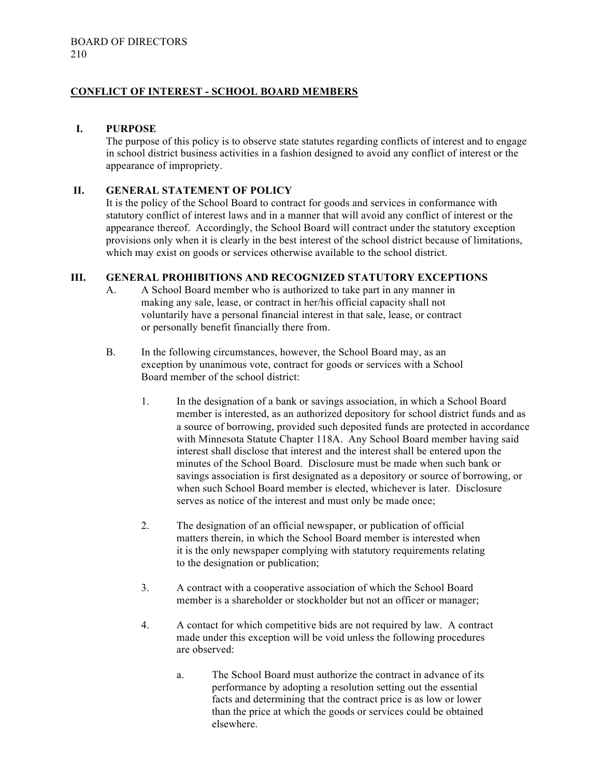# **CONFLICT OF INTEREST - SCHOOL BOARD MEMBERS**

### **I. PURPOSE**

The purpose of this policy is to observe state statutes regarding conflicts of interest and to engage in school district business activities in a fashion designed to avoid any conflict of interest or the appearance of impropriety.

### **II. GENERAL STATEMENT OF POLICY**

It is the policy of the School Board to contract for goods and services in conformance with statutory conflict of interest laws and in a manner that will avoid any conflict of interest or the appearance thereof. Accordingly, the School Board will contract under the statutory exception provisions only when it is clearly in the best interest of the school district because of limitations, which may exist on goods or services otherwise available to the school district.

#### **III. GENERAL PROHIBITIONS AND RECOGNIZED STATUTORY EXCEPTIONS**

- A. A School Board member who is authorized to take part in any manner in making any sale, lease, or contract in her/his official capacity shall not voluntarily have a personal financial interest in that sale, lease, or contract or personally benefit financially there from.
- B. In the following circumstances, however, the School Board may, as an exception by unanimous vote, contract for goods or services with a School Board member of the school district:
	- 1. In the designation of a bank or savings association, in which a School Board member is interested, as an authorized depository for school district funds and as a source of borrowing, provided such deposited funds are protected in accordance with Minnesota Statute Chapter 118A. Any School Board member having said interest shall disclose that interest and the interest shall be entered upon the minutes of the School Board. Disclosure must be made when such bank or savings association is first designated as a depository or source of borrowing, or when such School Board member is elected, whichever is later. Disclosure serves as notice of the interest and must only be made once;
	- 2. The designation of an official newspaper, or publication of official matters therein, in which the School Board member is interested when it is the only newspaper complying with statutory requirements relating to the designation or publication;
	- 3. A contract with a cooperative association of which the School Board member is a shareholder or stockholder but not an officer or manager;
	- 4. A contact for which competitive bids are not required by law. A contract made under this exception will be void unless the following procedures are observed:
		- a. The School Board must authorize the contract in advance of its performance by adopting a resolution setting out the essential facts and determining that the contract price is as low or lower than the price at which the goods or services could be obtained elsewhere.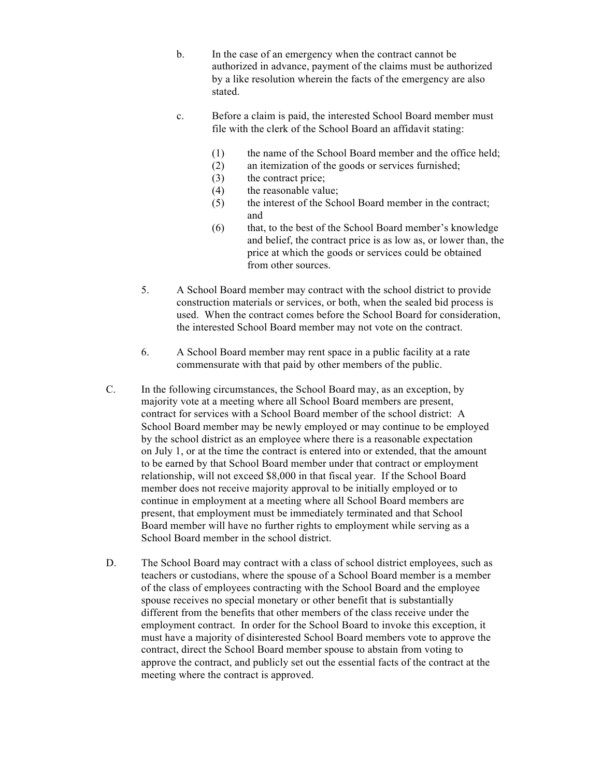- b. In the case of an emergency when the contract cannot be authorized in advance, payment of the claims must be authorized by a like resolution wherein the facts of the emergency are also stated.
- c. Before a claim is paid, the interested School Board member must file with the clerk of the School Board an affidavit stating:
	- (1) the name of the School Board member and the office held;
	- (2) an itemization of the goods or services furnished;
	- (3) the contract price;
	- (4) the reasonable value;
	- (5) the interest of the School Board member in the contract; and
	- (6) that, to the best of the School Board member's knowledge and belief, the contract price is as low as, or lower than, the price at which the goods or services could be obtained from other sources.
- 5. A School Board member may contract with the school district to provide construction materials or services, or both, when the sealed bid process is used. When the contract comes before the School Board for consideration, the interested School Board member may not vote on the contract.
- 6. A School Board member may rent space in a public facility at a rate commensurate with that paid by other members of the public.
- C. In the following circumstances, the School Board may, as an exception, by majority vote at a meeting where all School Board members are present, contract for services with a School Board member of the school district: A School Board member may be newly employed or may continue to be employed by the school district as an employee where there is a reasonable expectation on July 1, or at the time the contract is entered into or extended, that the amount to be earned by that School Board member under that contract or employment relationship, will not exceed \$8,000 in that fiscal year. If the School Board member does not receive majority approval to be initially employed or to continue in employment at a meeting where all School Board members are present, that employment must be immediately terminated and that School Board member will have no further rights to employment while serving as a School Board member in the school district.
- D. The School Board may contract with a class of school district employees, such as teachers or custodians, where the spouse of a School Board member is a member of the class of employees contracting with the School Board and the employee spouse receives no special monetary or other benefit that is substantially different from the benefits that other members of the class receive under the employment contract. In order for the School Board to invoke this exception, it must have a majority of disinterested School Board members vote to approve the contract, direct the School Board member spouse to abstain from voting to approve the contract, and publicly set out the essential facts of the contract at the meeting where the contract is approved.